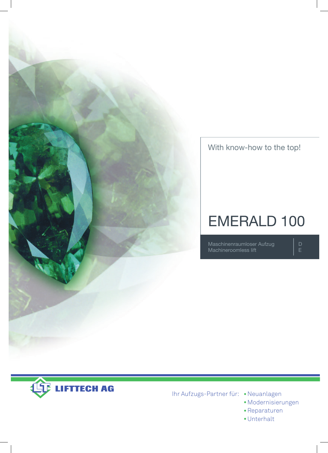

With know-how to the top!

# EMERALD 100

Maschinenraumloser Aufzug Machineroomless lift

D E



Ihr Aufzugs-Partner für: **•** Neuanlagen

- **•** Modernisierungen
- **•** Reparaturen
- **•** Unterhalt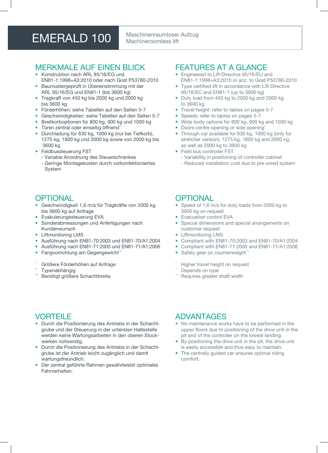## EMERALD 100 Maschinenraumloser Aufzug

## Machineroomless lift

#### MERkMALE Auf EinEn BLick

- Konstruktion nach ARL 95/16/FG und En81-1:1998+A3:2010 oder nach Gost P53780-2010
- Baumustergeprüft in Übereinstimmung mit der ARL 95/16/EG und En81-1 (bis 3600 kg)
- Tragkraft von 450 kg bis 2000 kg und 2000 kg bis 3600 kg
- förderhöhen: siehe Tabellen auf den Seiten 5-7
- Geschwindigkeiten: siehe Tabellen auf den Seiten 5-7
- Breitkorboptionen für 800 kg, 900 kg und 1000 kg
- Türen zentral oder einseitig öffnend\*\*
- Durchladung für 630 kg, 1000 kg (nur bei Tiefkorb), 1275 kg, 1600 kg und 2000 kg sowie von 2000 kg bis 3600 kg
- feldbussteuerung fST
	- Variable Anordnung des Steuerschrankes
	- Geringe Montagekosten durch vorkonfektioniertes System

#### **OPTIONAL**

- Geschwindigkeit 1,6 m/s für Tragkräfte von 2000 kg bis 3600 kg auf Anfrage
- Evakuierungssteuerung EVA
- Sonderabmessungen und Anfertigungen nach kundenwunsch
- Liftmonitoring LMS
- Ausführung nach En81-70:2003 und En81-70/A1:2004
- Ausführung nach En81-71:2005 und En81-71/A1:2006
- Fangvorrichtung am Gegengewicht\*\*\*
- Größere Förderhöhen auf Anfrage
- **Typenabhängig**
- Benötigt größere Schachtbreite

#### fEATuRES AT A GLAncE

- Engineered to Lift Directive 95/16/EU and En81-1:1998+A3:2010 or acc. to Gost P53780-2010
- Type certified lift in accordance with Lift Directive 95/16/Ec and En81-1 (up to 3600 kg)
- Duty load from 450 kg to 2000 kg and 2000 kg to 3600 kg
- Travel height: refer to tables on pages 5-7
- Speeds: refer to tables on pages 5-7
- Wide body options for 800 kg, 900 kg and 1000 kg
- Doors centre opening or side opening<sup>\*</sup>
- Through car available for 630 kg, 1000 kg (only for stretcher version), 1275 kg, 1600 kg and 2000 kg, as well as 2000 kg to 3600 kg
- Field bus controller FST
	- Variability in positioning of controller cabinet
	- Reduced installation cost due to pre-wired system

#### **OPTIONAL**

- Speed of 1,6 m/s for duty loads from 2000 kg to 3600 kg on request
- **Evacuation control EVA**
- Special dimensions and special arrangements on customer request
- **Liftmonitoring LMS**
- compliant with En81-70:2003 and En81-70/A1:2004
- compliant with En81-71:2005 and En81-71/A1:2006
- Safety gear on counterweight\*\*
- Higher travel height on request
- Depends on type
- Requires greater shaft width

#### **VORTEILE**

- Durch die Positionierung des Antriebs in der Schachtgrube und der Steuerung in der untersten Haltestelle werden keine Wartungsarbeiten in den oberen Stockwerken notwendig.
- Durch die Positionierung des Antriebs in der Schachtgrube ist der Antrieb leicht zugänglich und damit wartungsfreundlich.
- Der zentral geführte Rahmen gewährleistet optimales fahrverhalten.

#### ADVAnTAGES

- No maintenance works have to be performed in the upper floors due to positioning of the drive unit in the pit and of the controller on the lowest landing.
- By positioning the drive unit in the pit, the drive unit is easily accessible and thus easy to maintain.
- The centrally guided car ensures optimal riding comfort.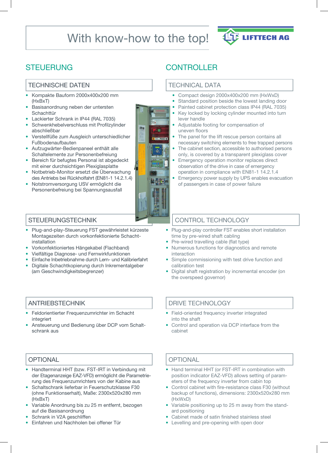## With know-how to the top!



### **STEUERUNG**

#### TEcHniScHE DATEn

- kompakte Bauform 2000x400x200 mm (HxBxT)
- Basisanordnung neben der untersten **Schachttür**
- Lackierter Schrank in iP44 (RAL 7035)
- Schwenkhebelverschluss mit Profilzylinder abschließbar
- Verstellfüße zum Ausgleich unterschiedlicher fußbodenaufbauten
- Aufzugwärter-Bedienpaneel enthält alle Schaltelemente zur Personenbefreiung
- Bereich für befugtes Personal ist abgedeckt mit einer durchsichtigen Plexiglasplatte
- notbetrieb-Monitor ersetzt die Überwachung des Antriebs bei Rückholfahrt (En81-1 14.2.1.4)
- notstromversorgung uSV ermöglicht die Personenbefreiung bei Spannungsausfall



### **CONTROLLER**

#### TEcHnicAL DATA

- compact design 2000x400x200 mm (HxWxD)
- Standard position beside the lowest landing door
- Painted cabinet protection class IP44 (RAL 7035) Key locked by locking cylinder mounted into turn
- lever handle • Adjustable footing for compensation of uneven floors
- The panel for the lift rescue person contains all necessary switching elements to free trapped persons
- The cabinet section, accessible to authorised persons only, is covered by a transparent plexiglass cover
- Emergency operation monitor replaces direct observation of the drive in case of emergency operation in compliance with En81-1 14.2.1.4
- Emergency power supply by UPS enables evacuation of passengers in case of power failure

#### **STEUERUNGSTECHNIK**

- Plug-and-play-Steuerung fST gewährleistet kürzeste Montagezeiten durch vorkonfektionierte Schachtinstallation
- Vorkonfektioniertes Hängekabel (flachband)
- Vielfältige Diagnose- und fernwirkfunktionen
- Einfache inbetriebnahme durch Lern- und kalibrierfahrt
- Digitale Schachtkopierung durch inkrementalgeber (am Geschwindigkeitsbegrenzer)

#### AnTRiEBSTEcHnik

- feldorientierter frequenzumrichter im Schacht integriert
- Ansteuerung und Bedienung über DcP vom Schaltschrank aus

#### **OPTIONAL**

- Handterminal HHT (bzw. fST-iRT in Verbindung mit der Etagenanzeige EAZ-VfD) ermöglicht die Parametrierung des frequenzumrichters von der kabine aus
- Schaltschrank lieferbar in feuerschutzklasse f30 (ohne funktionserhalt), Maße: 2300x520x280 mm (HxBxT)
- Variable Anordnung bis zu 25 m entfernt, bezogen auf die Basisanordnung
- Schrank in V2A geschliffen
- Einfahren und nachholen bei offener Tür

#### cOnTROL TEcHnOLOGy

- Plug-and-play controller fST enables short installation time by pre-wired shaft cabling
- Pre-wired travelling cable (flat type)
- numerous functions for diagnostics and remote interaction
- Simple commissioning with test drive function and calibration test
- Digital shaft registration by incremental encoder (on the overspeed governor)

#### DRiVE TEcHnOLOGy

- field-oriented frequency inverter integrated into the shaft
- Control and operation via DCP interface from the cabinet

#### **OPTIONAL**

- Hand terminal HHT (or FST-IRT in combination with position indicator EAZ-VfD) allows setting of parameters of the frequency inverter from cabin top
- control cabinet with fire-resistance class f30 (without backup of functions), dimensions: 2300x520x280 mm (HxWxD)
- Variable positioning up to 25 m away from the standard positioning
- cabinet made of satin finished stainless steel
- Levelling and pre-opening with open door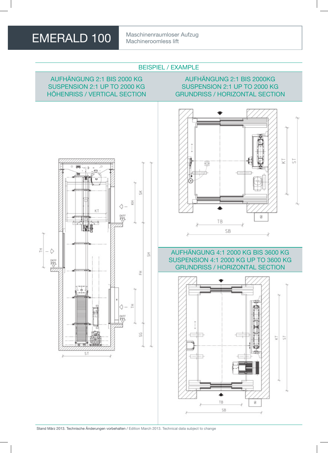Machineroomless lift

#### BEiSPiEL / ExAMPLE

#### AufHänGunG 2:1 BiS 2000 kG SuSPEnSiOn 2:1 uP TO 2000 kG HöHEnRiSS / VERTicAL SEcTiOn

#### AufHänGunG 2:1 BiS 2000kG SuSPEnSiOn 2:1 uP TO 2000 kG GRunDRiSS / HORiZOnTAL SEcTiOn





#### AufHänGunG 4:1 2000 kG BiS 3600 kG SuSPEnSiOn 4:1 2000 kG uP TO 3600 kG GRunDRiSS / HORiZOnTAL SEcTiOn

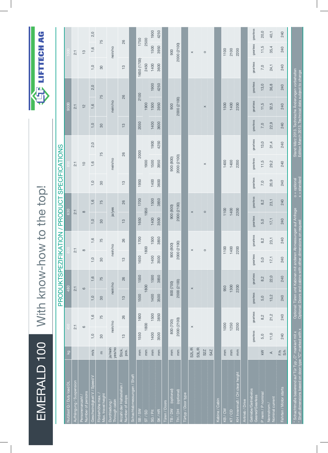| EMERALD 100                                                                                                       |                        |                    | With know-h |               |                                                                             |               |                         |                              | ow to the top! |                                  |               |          |               |                                                                                                            | U        | LIFTTECH      |               | <b>C</b> |
|-------------------------------------------------------------------------------------------------------------------|------------------------|--------------------|-------------|---------------|-----------------------------------------------------------------------------|---------------|-------------------------|------------------------------|----------------|----------------------------------|---------------|----------|---------------|------------------------------------------------------------------------------------------------------------|----------|---------------|---------------|----------|
|                                                                                                                   |                        |                    |             |               | <b>PRODUKTSPEZ</b>                                                          |               |                         | FIKATION / PRODUCT           |                | SPECIFICATIONS                   |               |          |               |                                                                                                            |          |               |               |          |
| Nutzlast Q / Duty load DI                                                                                         | $\overline{g}$         |                    |             | 480           |                                                                             |               |                         | 630                          |                |                                  |               |          |               | 900B                                                                                                       |          |               | coo           |          |
| Aufhängung / Suspension                                                                                           |                        | 2:1                |             | $2:1$         |                                                                             | $2:1$         |                         | 2:1                          |                |                                  | $2:1$         |          |               | $\overline{2:1}$                                                                                           |          |               | $2:1$         |          |
| Number of persons<br>Personenanzahl                                                                               |                        | $\circ$            |             | $\circ$       |                                                                             | $\infty$      |                         | $\infty$                     |                |                                  | $\frac{1}{2}$ |          |               | $\frac{1}{2}$                                                                                              |          |               | $\frac{3}{2}$ |          |
| Geschwindigkeit V / Speed V                                                                                       | m/s                    | $\overline{1}$ , O | 1,6         | 1,0           | 1,6                                                                         | $\circ$<br>÷, | 1,6                     | 1,0                          | 1,6            | 1,0                              | 1,6           | 2,0      | 1,0           | 1,6                                                                                                        | 2,0      | 1,0           | 1,6           | 2,0      |
| Förderhöhe max.<br>Max. travel height                                                                             | $\mathsf E$            | $30\,$             | 75          | 30            | 75                                                                          | 30            | 75                      | 30                           | 75             | 80                               | 75            |          | 30            | 75                                                                                                         |          | 30            | 75            |          |
| Durchladung /<br>Through cabin                                                                                    | ja/nein<br>yes/no      | nein/no            |             | nein/no       |                                                                             | nein/no       |                         | ja/yes                       |                |                                  | nein/no       |          |               | nein/no                                                                                                    |          |               | nein/no       |          |
| Anzahl der Haltestellen<br>Number of stops                                                                        | Stok.<br>pcs.          | $\frac{3}{2}$      | 26          | $\frac{3}{2}$ | 26                                                                          | $\frac{3}{5}$ | 26                      | $\frac{3}{2}$                | 26             | $\frac{3}{2}$                    | 26            |          | $\frac{3}{2}$ | 26                                                                                                         |          | $\frac{3}{2}$ | 26            |          |
| Schachtabmessungen / Shaff                                                                                        |                        |                    |             |               |                                                                             |               |                         |                              |                |                                  |               |          |               |                                                                                                            |          |               |               |          |
| NS / SN                                                                                                           | mm                     | 1550               | 1600        | 1500          | 1550                                                                        | 1650          | 1700                    | 1650                         | 1700           | 1950                             | 2000          |          | 2050          | 2100                                                                                                       |          | 1650 (1700)   | 1750          |          |
| $\overline{\text{ST}}$ / $\overline{\text{SD}}$                                                                   | mm                     | 1800               |             | 1800          |                                                                             | 1800          |                         | 1950                         |                |                                  | 1900          |          |               | 1900                                                                                                       |          | 2450          | 2500          |          |
| SG / Pit                                                                                                          | $\overline{\text{mm}}$ | 1400               | 1500        | 1400          | 1500                                                                        | 1400          | 1500                    | 1400                         | 1500           | 1400                             | 1500          | 1900     | 1400          | 1500                                                                                                       | 1900     | 1400          | 1500          | 1900     |
| SK/HR                                                                                                             | mm                     | 3500               | 3850        | 3500          | 3850                                                                        | 3500          | 3850                    | 3500                         | 3850           | 3600                             | 3950          | 4250     | 3600          | 3950                                                                                                       | 4250     | 3600          | 3950          | 4250     |
| Türen / Doors                                                                                                     |                        |                    |             |               |                                                                             |               |                         |                              |                |                                  |               |          |               |                                                                                                            |          |               |               |          |
| (optional)<br>VO/B/                                                                                               | $\overline{\text{mm}}$ | 800 (700)          |             | 800 (700)     |                                                                             | 900 (800)     |                         | 900 (800)                    |                |                                  | 900 (800)     |          |               | 900                                                                                                        |          |               | 900           |          |
| (optional)<br>TH/DH                                                                                               | $\overline{\Xi}$       | 2000 (2100)        |             | 2000 (2100)   |                                                                             | 2000 (2100)   |                         | 2000 (2100)                  |                |                                  | 2000 (2100)   |          |               | 2000 (2100)                                                                                                |          |               | 2000 (2100)   |          |
| Türtyp / Door type                                                                                                |                        |                    |             |               |                                                                             |               |                         |                              |                |                                  |               |          |               |                                                                                                            |          |               |               |          |
|                                                                                                                   | S <sub>2</sub> L/R     | $\times$           |             | $\times$      |                                                                             | $\times$      |                         | $\times$                     |                |                                  |               |          |               |                                                                                                            |          |               | $\times$      |          |
|                                                                                                                   | <b>S3L/R</b>           |                    |             |               |                                                                             |               |                         |                              |                |                                  |               |          |               |                                                                                                            |          |               |               |          |
|                                                                                                                   | S <sub>2</sub> Z       |                    |             |               |                                                                             | $\circ$       |                         | $\circ$                      |                |                                  | $\times$      |          |               | $\times$                                                                                                   |          |               | $\circ$       |          |
|                                                                                                                   | S4Z                    |                    |             |               |                                                                             |               |                         |                              |                |                                  |               |          |               |                                                                                                            |          |               |               |          |
| Kabine / Cabin                                                                                                    |                        |                    |             |               |                                                                             |               |                         |                              |                |                                  |               |          |               |                                                                                                            |          |               |               |          |
| KB/CW                                                                                                             | mm                     | 1000               |             | 950           |                                                                             | 1100          |                         | 1100                         |                |                                  | 1400          |          |               | 1500                                                                                                       |          |               | 1100          |          |
| KT/CD                                                                                                             | $\overline{\text{mm}}$ | 1250               |             | 1300          |                                                                             | 1400          |                         | 1400                         |                |                                  | 1400          |          |               | 1400                                                                                                       |          |               | 2100          |          |
| KH Innenmaß / CH clear height                                                                                     | mm                     | 2200               |             | 2200          |                                                                             | 2200          |                         | 2200                         |                |                                  | 2200          |          |               | 2200                                                                                                       |          |               | 2200          |          |
| Antrieb / Drive                                                                                                   |                        |                    |             |               |                                                                             |               |                         |                              |                |                                  |               |          |               |                                                                                                            |          |               |               |          |
| Getriebe/Getriebelos<br>Geared/Gearless                                                                           |                        | gearless           | gearless    | gearless      | gearless                                                                    | gearless      | gearless                | gearless                     | gearless       | gearless                         | gearless      | gearless | gearless      | gearless                                                                                                   | gearless | gearless      | gearless      | gearless |
| P nenn / P nomina                                                                                                 | KW                     | 5,0                | 8,2         | 5,0           | 8,2                                                                         | 5,0           | 8,2                     | 5,0                          | 8 <sub>2</sub> | 7,0                              | 11,5          | 13,0     | 7,0           | 11,5                                                                                                       | 13,0     | 7,0           | 11,5          | 20,0     |
| Nominal current<br>Nennstrom                                                                                      | $\prec$                | 11,0               | 21,2        | 13,2          | 22,0                                                                        | $17,1$        | 23,1                    | 17,1                         | 23,1           | 20,9                             | 29,2          | 31,4     | 22,9          | 32,5                                                                                                       | 36,8     | 24,1          | 35,4          | 40,1     |
| Fahrten / Motor starts                                                                                            | F/h<br>S/h             | 240                | 240         | 240           | 240                                                                         | 240           | 240                     | 240                          | 240            | 240                              | 240           | 240      | 240           | 240                                                                                                        | 240      | 240           | 240           | 240      |
| * Schachtmaße basierend auf Tür Typ "C" markiert mit x<br>* Shaft dimensions based on door type "C" marked with x |                        |                    |             |               | Optional: Türen und Kabinen mit and<br>Optional: Doors and cabins with othe |               | r dimensions on request | eren Abmessungen auf Anfrage |                | $0 =$ optional<br>$x =$ standard |               |          |               | Stand März 2013. Technische Änderungen vorbehalten<br>Edition March 2013. Technical data subiect to change |          |               |               |          |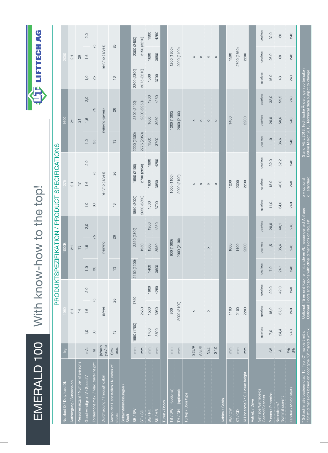| EMERALD 100                                                                                                       |                         |               |                |          |                                                                                                                          |               |                            | With know-how to the top!                     |                                  |          |                                                                                                            |                          |          |               | LIFTTECH           | 4d       |
|-------------------------------------------------------------------------------------------------------------------|-------------------------|---------------|----------------|----------|--------------------------------------------------------------------------------------------------------------------------|---------------|----------------------------|-----------------------------------------------|----------------------------------|----------|------------------------------------------------------------------------------------------------------------|--------------------------|----------|---------------|--------------------|----------|
|                                                                                                                   |                         |               |                |          |                                                                                                                          |               |                            | PRODUKTSPEZIFIKATION / PRODUCT SPECIFICATIONS |                                  |          |                                                                                                            |                          |          |               |                    |          |
| Nutzlast Q / Duty load DL                                                                                         | δz                      |               |                |          |                                                                                                                          | 1000B         |                            |                                               |                                  |          |                                                                                                            | 600                      |          |               |                    |          |
| Aufhängung / Suspension                                                                                           |                         |               | 2:1            |          |                                                                                                                          | 2:1           |                            |                                               | 2:1                              |          |                                                                                                            | 2:1                      |          |               | 2:1                |          |
| Personenanzahl / Number of persons                                                                                |                         |               | $\overline{4}$ |          |                                                                                                                          | $\frac{1}{2}$ |                            |                                               | $\overline{1}$                   |          |                                                                                                            | $\overline{\mathcal{C}}$ |          |               | 26                 |          |
| Geschwindigkeit V / Speed V                                                                                       | m/s                     | 1,0           | 1,6            | 2,0      | 1,0                                                                                                                      | 1,6           | 2,0                        | $\overline{1}$ , $\overline{0}$               | 1,6                              | 2,0      | 1,0                                                                                                        | 1,6                      | 2,0      | 1,0           | 1,6                | 2,0      |
| Förderhöhe max. / Max. travel height                                                                              | $\mathsf{E}$            | 30            | 75             |          | 30                                                                                                                       |               | 75                         | 30                                            | 75                               |          | 25                                                                                                         | 75                       |          | 25            | 75                 |          |
| Durchladung / Through cabin                                                                                       | ja/nein<br>yes/no       |               | ja/yes         |          |                                                                                                                          | nein/no       |                            |                                               | nein/no (ja/yes)                 |          |                                                                                                            | nein/no (ja/yes)         |          |               | nein/no (ja/yes)   |          |
| Anzahl der Haltestellen / Number of<br>stops                                                                      | Stok.<br>pcs.           | $\frac{1}{2}$ | 26             |          | $\frac{1}{2}$                                                                                                            |               | 26                         | $\frac{1}{2}$                                 | 26                               |          | $\frac{3}{2}$                                                                                              | 26                       |          | $\frac{3}{2}$ | 26                 |          |
| Schachtabmessungen<br>Shaft                                                                                       |                         |               |                |          |                                                                                                                          |               |                            |                                               |                                  |          |                                                                                                            |                          |          |               |                    |          |
| $\text{SB}$ / SW                                                                                                  | mm                      | 1650 (1700)   | 1750           |          | 2150 (2200)                                                                                                              |               | 2250 (2300)                | 1850 (2000)                                   | 1950 (2100)                      |          | 2200 (2300)                                                                                                | 2300 (2400)              |          | 2200 (2300)   | 2300 (2400)        |          |
| ST / SD                                                                                                           | $\overline{\text{mm}}$  |               | 2650           |          |                                                                                                                          | 1950          |                            | 2650 (2850)                                   | 2700 (2850)                      |          | 2775 (2950)                                                                                                | 2800 (2950)              |          | 3075 (3210)   | 3150 (3210)        |          |
| SG / Pit                                                                                                          | $\overline{\mathrm{m}}$ | 1400          | 1500           | 1900     | 1400                                                                                                                     | 1500          | 1900                       | 1500                                          | 1600                             | 1900     | 1500                                                                                                       | 1600                     | 1900     | 1500          | 1600               | 1900     |
| SK/HR                                                                                                             | $\overline{\Xi}$        | 3600          | 3950           | 4250     | 3600                                                                                                                     | 3950          | 4250                       | 3700                                          | 3950                             | 4250     | 3700                                                                                                       | 3950                     | 4250     | 3700          | 3950               | 4250     |
| Türen / Doors                                                                                                     |                         |               |                |          |                                                                                                                          |               |                            |                                               |                                  |          |                                                                                                            |                          |          |               |                    |          |
| (optional)<br>TB / DN                                                                                             | $\overline{\text{mm}}$  |               | 900            |          |                                                                                                                          | 000 (1000)    |                            |                                               | 1000 (1100)                      |          |                                                                                                            | 1200 (1300)              |          |               | 1200 (1300)        |          |
| (optional)<br>H / DH                                                                                              | $\overline{\text{mm}}$  |               | 2000 (2100)    |          |                                                                                                                          | 2000 (2100)   |                            |                                               | 2000 (2100)                      |          |                                                                                                            | 2000 (2100)              |          |               | 2000 (2100)        |          |
| Türtyp / Door type                                                                                                | S <sub>2</sub> L/R      |               |                |          |                                                                                                                          |               |                            |                                               |                                  |          |                                                                                                            |                          |          |               |                    |          |
|                                                                                                                   |                         |               | $\times$       |          |                                                                                                                          |               |                            |                                               | $\times$                         |          |                                                                                                            | $\times$                 |          |               | $\times$           |          |
|                                                                                                                   | S3L/R                   |               |                |          |                                                                                                                          |               |                            |                                               | $\circ$                          |          |                                                                                                            | $\circ$                  |          |               | $\circ$            |          |
|                                                                                                                   | S4Z<br>S <sub>2</sub> Z |               | $\circ$        |          |                                                                                                                          | $\times$      |                            |                                               | $\circ$                          |          |                                                                                                            | $\circ$<br>$\circ$       |          |               | $\circ$<br>$\circ$ |          |
|                                                                                                                   |                         |               |                |          |                                                                                                                          |               |                            |                                               | $\circ$                          |          |                                                                                                            |                          |          |               |                    |          |
| Kabine / Cabin                                                                                                    |                         |               |                |          |                                                                                                                          |               |                            |                                               |                                  |          |                                                                                                            |                          |          |               |                    |          |
| KB / CW                                                                                                           | $\overline{\text{m}}$   |               | 1100           |          |                                                                                                                          | 1600          |                            |                                               | 1200                             |          |                                                                                                            | 1400                     |          |               | 1500               |          |
| 47/CD                                                                                                             | $\overline{\rm mm}$     |               | 2100           |          |                                                                                                                          | 1400          |                            |                                               | 2300                             |          |                                                                                                            |                          |          |               | 2700 (2660)        |          |
| KH Innenmaß / CH clear height                                                                                     | $\overline{\rm mm}$     |               | 2200           |          |                                                                                                                          | 2200          |                            |                                               | 2200                             |          |                                                                                                            | 2200                     |          |               | 2200               |          |
| Antrieb / Drive                                                                                                   |                         |               |                |          |                                                                                                                          |               |                            |                                               |                                  |          |                                                                                                            |                          |          |               |                    |          |
| Getriebe/Getriebelos<br>Geared/Gearless                                                                           |                         | gearless      | gearless       | gearless | gearless                                                                                                                 | gearless      | gearless                   | gearless                                      | gearless                         | gearless | gearless                                                                                                   | gearless                 | gearless | gearless      | gearless           | gearless |
| P nenn / P nominal                                                                                                | KW                      | 7,0           | 18,0           | 20,0     | 7,0                                                                                                                      | 11,5          | 20,0                       | 11,0                                          | 18,0                             | 32,0     | 11,0                                                                                                       | 26,0                     | 32,0     | 16,0          | 26,0               | 32,0     |
| Nominal current<br>Nennstrom /                                                                                    | ⋖                       | 24,4          | 37,5           | 42,0     | 24,1                                                                                                                     | 35,4          | 40,1                       | 34,0                                          | 46,0                             | 52,2     | 36,6                                                                                                       | 50,6                     | 59,5     | $43$          | $68$               | $\rm 80$ |
| Fahrten / Motor starts                                                                                            | F/h<br>S/h              | 240           | 240            | 240      | 240                                                                                                                      | 240           | 240                        | 240                                           | 240                              | 240      | 240                                                                                                        | 240                      | 240      | 240           | 240                | 240      |
| * Schachtmaße basierend auf Tür Typ "C" markiert mit x<br>* Shaft dimensions based on door type "C" marked with x |                         |               |                |          | Optional: Türen und Kabinen mit anderen Abmessungen auf ،<br>Optional: Doors and cabins with other dimensions on request |               | en Abmessungen auf Anfrage |                                               | $o =$ optional<br>$x =$ standard |          | Stand März 2013. Technische Änderungen vorbehalten<br>Edition March 2013. Technical data subiect to change |                          |          |               |                    |          |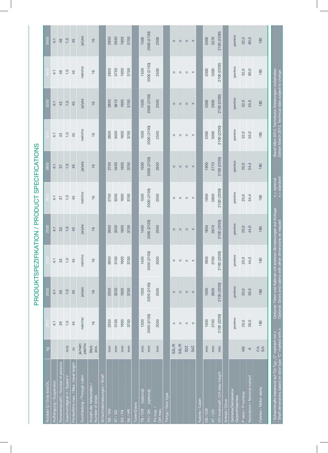|                                                                                                                   |                        |               |                                                                                                          |               |                       |                                  |                   |                                                      | 3200                                               |               |               |
|-------------------------------------------------------------------------------------------------------------------|------------------------|---------------|----------------------------------------------------------------------------------------------------------|---------------|-----------------------|----------------------------------|-------------------|------------------------------------------------------|----------------------------------------------------|---------------|---------------|
| Nutzlast Q / Duty load DL                                                                                         | $\overline{Q}$         |               | 2000                                                                                                     |               | 2500                  |                                  | 2800              |                                                      |                                                    |               | 3600          |
| Aufhängung / Suspension                                                                                           |                        | 4:1           | $4:1$                                                                                                    | 4:1           | $4:1$                 | $4:1$                            | $4:1$             | $4:1$                                                | $4:1$                                              | $4:1$         | $4:1$         |
| Personenanzahl / Number of persons                                                                                |                        | 26            | 26                                                                                                       | 33            | 33                    | 57                               | 57                | 43                                                   | $43\,$                                             | $48$          | 48            |
| Geschwindigkeit V / Speed V                                                                                       | m/s                    | 1,0           | 1,0                                                                                                      | 1,0           | 1,0                   | 1,0                              | 1,0               | 1,0                                                  | 1,0                                                | 1,0           | 1,0           |
| Förderhöhe max. / Max. travel height                                                                              | $\epsilon$             | 45            | 45                                                                                                       | 45            | 45                    | 45                               | 45                | 45                                                   | 45                                                 | 45            | 45            |
| Durchladung / Through cabin                                                                                       | ja/nein<br>yes/no      | nein/no       | ja/yes                                                                                                   | nein/no       | ja/yes                | nein/no                          | ja/yes            | nein/no                                              | ja/yes                                             | nein/no       | ja/yes        |
| Anzahl der Haltestellen /<br>Number of stops                                                                      | Stok.<br>pcs.          | $\frac{6}{1}$ | $\frac{6}{1}$                                                                                            | $\frac{6}{1}$ | $\frac{6}{1}$         | $\frac{6}{1}$                    | $\frac{6}{5}$     | $\frac{6}{1}$                                        | $\frac{6}{5}$                                      | $\frac{6}{1}$ | $\frac{6}{1}$ |
| Schachtabmessungen / Shaft                                                                                        |                        |               |                                                                                                          |               |                       |                                  |                   |                                                      |                                                    |               |               |
| $\overline{\text{SB}}$ / SW                                                                                       | $\overline{\text{mm}}$ | 2350          | 2350                                                                                                     | 2650          | 2650                  | 2750                             | 2750              | 2850                                                 | 2850                                               | 2850          | 2850          |
| $\overline{\text{ST}}$ sp                                                                                         | mm                     | 3100          | 3230                                                                                                     | 3100          | 3330                  | 3200                             | 3430              | 3450                                                 | 3610                                               | 3750          | 3930          |
| SG/Pit                                                                                                            | $\overline{\text{mm}}$ | 1600          | 1600                                                                                                     | 1600          | 1600                  | 1600                             | 1600              | 1600                                                 | 1600                                               | 1600          | 1600          |
| SK/HR                                                                                                             | mm                     | 3700          | 3700                                                                                                     | 3700          | 3700                  | 3700                             | 3700              | 3700                                                 | 3700                                               | 3700          | 3700          |
| Türen/Doors                                                                                                       |                        |               |                                                                                                          |               |                       |                                  |                   |                                                      |                                                    |               |               |
| (optional)<br>VO / B                                                                                              | $\overline{\text{mm}}$ | 1300          | 1300                                                                                                     | 1400          | 1400                  | 1500                             | 1500              | 1500                                                 | 1500                                               | 1500          | 1500          |
| (optional)<br>TH / DH                                                                                             | $\overline{\text{mm}}$ | 2000 (2100)   | 2000 (2100)                                                                                              | 2000 (2100)   | 2000 (2100)           | 2000 (2100)                      | 2000 (2100)       | 2000 (2100)                                          | 2000 (2100)                                        | 2000 (2100)   | 2000 (2100)   |
| $TH$ max. $\sqrt{ }$<br>DH max                                                                                    | mm                     | 2500          | 2500                                                                                                     | 2500          | 2500                  | 2500                             | 2500              | 2500                                                 | 2500                                               | 2500          | 2500          |
| Türtyp / Door type                                                                                                |                        |               |                                                                                                          |               |                       |                                  |                   |                                                      |                                                    |               |               |
|                                                                                                                   | S <sub>2</sub> L/R     | $\times$      | $\times$                                                                                                 | $\circ$       | $\circ$               | $\circ$                          | $\circ$           | $\circ$                                              | $\circ$                                            | $\circ$       | $\circ$       |
|                                                                                                                   | S3L/R                  | $\circ$       | $\circ$                                                                                                  | $\circ$       | $\circ$               | $\circ$                          | $\circ$           | $\circ$                                              | $\circ$                                            | $\circ$       | $\circ$       |
|                                                                                                                   | S <sub>2</sub> Z       | $\circ$       | $\circ$                                                                                                  | $\circ$       | $\circ$               | $\circ$                          | $\circ$           | $\circ$                                              | $\circ$                                            | $\circ$       | $\circ$       |
|                                                                                                                   | S <sub>4</sub> Z       | $\circ$       | $\circ$                                                                                                  | $\mathbb{R}$  | $\mathbb{R}$          | $\mathsf{X}$                     | $\mathbf{\times}$ | $\mathbb{R}$                                         | $\mathbb{R}$                                       | $\mathsf{X}$  | $\mathbb{R}$  |
| Kabine / Cabin                                                                                                    |                        |               |                                                                                                          |               |                       |                                  |                   |                                                      |                                                    |               |               |
| KB/CW                                                                                                             | $\overline{\text{mm}}$ | 1500          | 1500                                                                                                     | 1800          | 1800                  | 1900                             | 1900              | 2000                                                 | 2000                                               | 2000          | 2000          |
| KT/CD                                                                                                             | $\overline{\text{mm}}$ | 2700          | 2630                                                                                                     | 2700          | 2670                  | 2800                             | 2770              | 3000                                                 | 2950                                               | 3300          | 3270          |
| KH Innenmaß / CH clear height                                                                                     | $\overline{\text{mm}}$ | 2100 (2200)   | 2100 (2200)                                                                                              | 2100 (2200)   | 2100 (2200)           | 2100 (2200)                      | 2100 (2200)       | 2100 (2200)                                          | 2100 (2200)                                        | 2100 (2200)   | 2100 (2200)   |
| Antrieb / Drive                                                                                                   |                        |               |                                                                                                          |               |                       |                                  |                   |                                                      |                                                    |               |               |
| Getriebe/Getriebelos<br>Geared/Gearless                                                                           |                        | gearless      | gearless                                                                                                 | gearless      | gearless              | gearless                         | gearless          | gearless                                             | gearless                                           | gearless      | gearless      |
| P nenn / P nominal                                                                                                | KW                     | 20,0          | 20,0                                                                                                     | 20,0          | 20,0                  | 20,0                             | 20,0              | 32,0                                                 | 32,0                                               | 32,0          | 32,0          |
| Nennstrom / Nominal current                                                                                       | $\prec$                | 36,0          | 36,0                                                                                                     | 44,0          | 44,0                  | 54,4                             | 54,4              | 55,0                                                 | 55,0                                               | 80,0          | 80,0          |
| Fahrten / Motor starts                                                                                            | F/h<br>$\frac{5}{10}$  | 180           | 180                                                                                                      | 180           | 180                   | 180                              | 180               | 180                                                  | 180                                                | 180           | 180           |
| * Schachtmaße basierend auf Tür Typ "C" markiert mit x<br>* Shaft dimensions based on door type "C" marked with x |                        |               | Optional: Türen und Kabinen mit anderen Abmessungen auf Anfrage<br>Optional: Doors and cabins with other |               | dimensions on request | $x = standard$<br>$o =$ optional |                   | Edition March 2013. Technical data subject to change | Stand März 2013. Technische Änderungen vorbehalten |               |               |